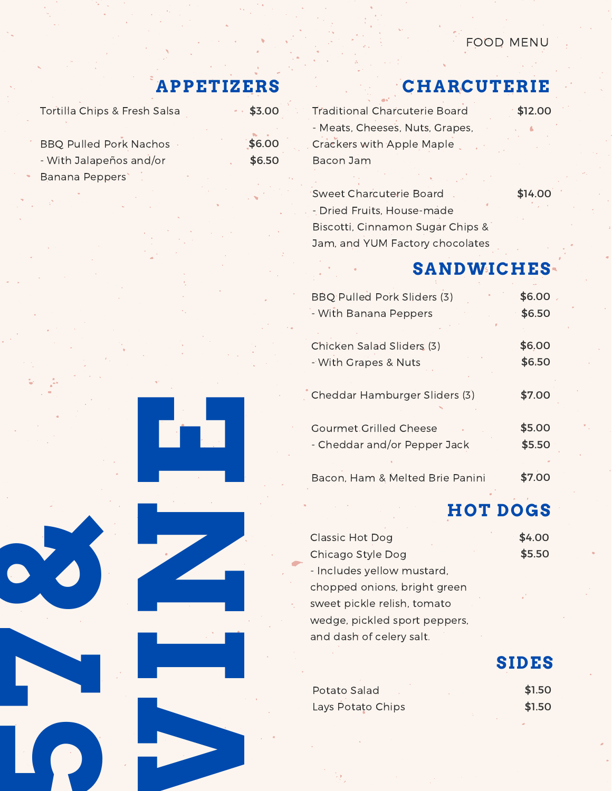#### FOOD MENU

\$14.00

# **APPETIZERS**

| Tortilla Chips & Fresh Salsa  | $-53.00$ |
|-------------------------------|----------|
| <b>BBQ Pulled Pork Nachos</b> | \$6.00   |
| - With Jalapeños and/or       | \$6.50   |
| Banana Peppers                |          |

# **CHARCUTERIE**

| Traditional Charcuterie Board    | \$12.00 |
|----------------------------------|---------|
| - Meats, Cheeses, Nuts, Grapes,  |         |
| <b>Crackers with Apple Maple</b> |         |
| Bacon Jam                        |         |
|                                  |         |

Sweet Charcuterie Board - Dried Fruits, House-made Biscotti, Cinnamon Sugar Chips & Jam, and YUM Factory chocolates

# **SANDWICHES**

| BBQ Pulled Pork Sliders (3)     | \$6.00 |
|---------------------------------|--------|
| - With Banana Peppers           | \$6.50 |
| Chicken Salad Sliders (3)       | \$6.00 |
| - With Grapes & Nuts            | \$6.50 |
| Cheddar Hamburger Sliders (3)   | \$7.00 |
| <b>Gourmet Grilled Cheese</b>   | \$5.00 |
| - Cheddar and/or Pepper Jack    | \$5.50 |
| Bacon, Ham & Melted Brie Panini | \$7.00 |

# **HOT DOGS**

**SIDES**

| Classic Hot Dog               | \$4.00 |
|-------------------------------|--------|
| Chicago Style Dog             | \$5.50 |
| - Includes yellow mustard,    |        |
| chopped onions, bright green  |        |
| sweet pickle relish, tomato   |        |
| wedge, pickled sport peppers, |        |
| and dash of celery salt.      |        |
|                               |        |

| Potato Salad      | \$1.50 |
|-------------------|--------|
| Lays Potato Chips | \$1.50 |





**5**

**7**

**&**